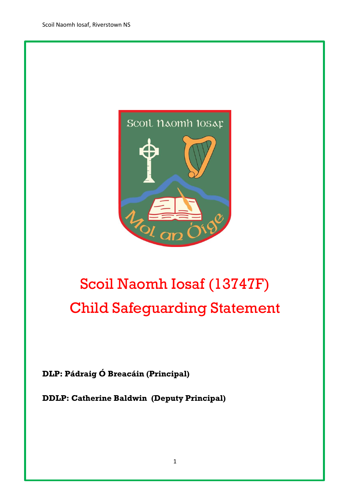

# Scoil Naomh Iosaf (13747F) Child Safeguarding Statement

**DLP: Pádraig Ó Breacáin (Principal)**

**DDLP: Catherine Baldwin (Deputy Principal)**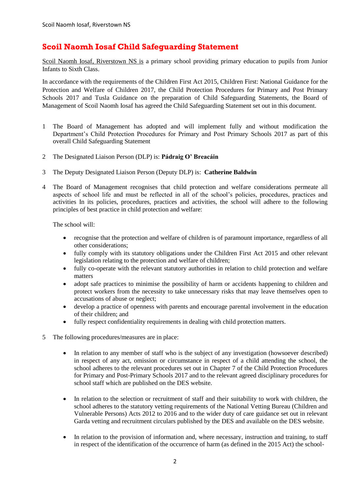## **Scoil Naomh Iosaf Child Safeguarding Statement**

Scoil Naomh Iosaf, Riverstown NS is a primary school providing primary education to pupils from Junior Infants to Sixth Class.

In accordance with the requirements of the Children First Act 2015, Children First: National Guidance for the Protection and Welfare of Children 2017, the Child Protection Procedures for Primary and Post Primary Schools 2017 and Tusla Guidance on the preparation of Child Safeguarding Statements, the Board of Management of Scoil Naomh Iosaf has agreed the Child Safeguarding Statement set out in this document.

- 1 The Board of Management has adopted and will implement fully and without modification the Department's Child Protection Procedures for Primary and Post Primary Schools 2017 as part of this overall Child Safeguarding Statement
- 2 The Designated Liaison Person (DLP) is: **Pádraig O' Breacáin**
- 3 The Deputy Designated Liaison Person (Deputy DLP) is: **Catherine Baldwin**
- 4 The Board of Management recognises that child protection and welfare considerations permeate all aspects of school life and must be reflected in all of the school's policies, procedures, practices and activities In its policies, procedures, practices and activities, the school will adhere to the following principles of best practice in child protection and welfare:

The school will:

- recognise that the protection and welfare of children is of paramount importance, regardless of all other considerations;
- fully comply with its statutory obligations under the Children First Act 2015 and other relevant legislation relating to the protection and welfare of children;
- fully co-operate with the relevant statutory authorities in relation to child protection and welfare matters
- adopt safe practices to minimise the possibility of harm or accidents happening to children and protect workers from the necessity to take unnecessary risks that may leave themselves open to accusations of abuse or neglect;
- develop a practice of openness with parents and encourage parental involvement in the education of their children; and
- fully respect confidentiality requirements in dealing with child protection matters.
- 5 The following procedures/measures are in place:
	- In relation to any member of staff who is the subject of any investigation (howsoever described) in respect of any act, omission or circumstance in respect of a child attending the school, the school adheres to the relevant procedures set out in Chapter 7 of the Child Protection Procedures for Primary and Post-Primary Schools 2017 and to the relevant agreed disciplinary procedures for school staff which are published on the DES website.
	- In relation to the selection or recruitment of staff and their suitability to work with children, the school adheres to the statutory vetting requirements of the National Vetting Bureau (Children and Vulnerable Persons) Acts 2012 to 2016 and to the wider duty of care guidance set out in relevant Garda vetting and recruitment circulars published by the DES and available on the DES website.
	- In relation to the provision of information and, where necessary, instruction and training, to staff in respect of the identification of the occurrence of harm (as defined in the 2015 Act) the school-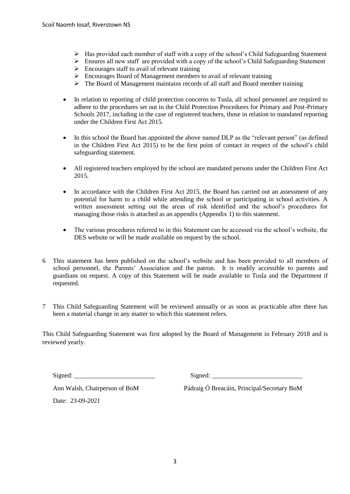- $\triangleright$  Has provided each member of staff with a copy of the school's Child Safeguarding Statement
- $\triangleright$  Ensures all new staff are provided with a copy of the school's Child Safeguarding Statement
- $\triangleright$  Encourages staff to avail of relevant training
- Encourages Board of Management members to avail of relevant training
- $\triangleright$  The Board of Management maintains records of all staff and Board member training
- In relation to reporting of child protection concerns to Tusla, all school personnel are required to adhere to the procedures set out in the Child Protection Procedures for Primary and Post-Primary Schools 2017, including in the case of registered teachers, those in relation to mandated reporting under the Children First Act 2015.
- In this school the Board has appointed the above named DLP as the "relevant person" (as defined in the Children First Act 2015) to be the first point of contact in respect of the school's child safeguarding statement.
- All registered teachers employed by the school are mandated persons under the Children First Act 2015.
- In accordance with the Children First Act 2015, the Board has carried out an assessment of any potential for harm to a child while attending the school or participating in school activities. A written assessment setting out the areas of risk identified and the school's procedures for managing those risks is attached as an appendix (Appendix 1) to this statement.
- The various procedures referred to in this Statement can be accessed via the school's website, the DES website or will be made available on request by the school.
- 6 This statement has been published on the school's website and has been provided to all members of school personnel, the Parents' Association and the patron. It is readily accessible to parents and guardians on request. A copy of this Statement will be made available to Tusla and the Department if requested.
- 7 This Child Safeguarding Statement will be reviewed annually or as soon as practicable after there has been a material change in any matter to which this statement refers.

This Child Safeguarding Statement was first adopted by the Board of Management in February 2018 and is reviewed yearly.

 $Signed:$ 

Ann Walsh, Chairperson of BoM Pádraig Ó Breacáin, Principal/Secretary BoM

Date: 23-09-2021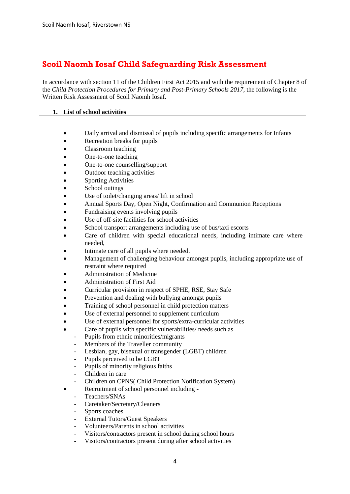# **Scoil Naomh Iosaf Child Safeguarding Risk Assessment**

In accordance with section 11 of the Children First Act 2015 and with the requirement of Chapter 8 of the *Child Protection Procedures for Primary and Post-Primary Schools 2017*, the following is the Written Risk Assessment of Scoil Naomh Iosaf.

#### **1. List of school activities**

- Daily arrival and dismissal of pupils including specific arrangements for Infants
- Recreation breaks for pupils
- Classroom teaching
- One-to-one teaching
- One-to-one counselling/support
- Outdoor teaching activities
- Sporting Activities
- School outings
- Use of toilet/changing areas/ lift in school
- Annual Sports Day, Open Night, Confirmation and Communion Receptions
- Fundraising events involving pupils
- Use of off-site facilities for school activities
- School transport arrangements including use of bus/taxi escorts
- Care of children with special educational needs, including intimate care where needed,
- Intimate care of all pupils where needed.
- Management of challenging behaviour amongst pupils, including appropriate use of restraint where required
- Administration of Medicine
- Administration of First Aid
- Curricular provision in respect of SPHE, RSE, Stay Safe
- Prevention and dealing with bullying amongst pupils
- Training of school personnel in child protection matters
- Use of external personnel to supplement curriculum
- Use of external personnel for sports/extra-curricular activities
- Care of pupils with specific vulnerabilities/ needs such as
	- Pupils from ethnic minorities/migrants
	- Members of the Traveller community
	- Lesbian, gay, bisexual or transgender (LGBT) children
	- Pupils perceived to be LGBT
	- Pupils of minority religious faiths
	- Children in care
- Children on CPNS( Child Protection Notification System)
- Recruitment of school personnel including -
- Teachers/SNAs
- Caretaker/Secretary/Cleaners
- Sports coaches
- External Tutors/Guest Speakers
- Volunteers/Parents in school activities
- Visitors/contractors present in school during school hours
- Visitors/contractors present during after school activities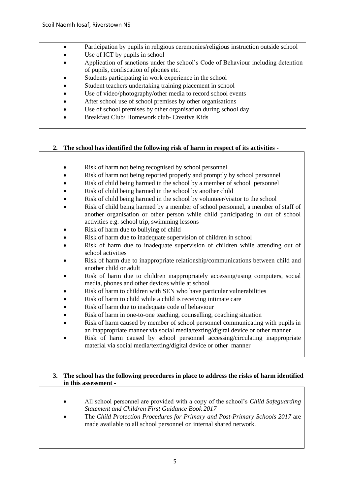- Participation by pupils in religious ceremonies/religious instruction outside school
- Use of ICT by pupils in school
- Application of sanctions under the school's Code of Behaviour including detention of pupils, confiscation of phones etc.
- Students participating in work experience in the school
- Student teachers undertaking training placement in school
- Use of video/photography/other media to record school events
- After school use of school premises by other organisations
- Use of school premises by other organisation during school day
- Breakfast Club/ Homework club- Creative Kids

## **2. The school has identified the following risk of harm in respect of its activities -**

- Risk of harm not being recognised by school personnel
- Risk of harm not being reported properly and promptly by school personnel
- Risk of child being harmed in the school by a member of school personnel
- Risk of child being harmed in the school by another child
- Risk of child being harmed in the school by volunteer/visitor to the school
- Risk of child being harmed by a member of school personnel, a member of staff of another organisation or other person while child participating in out of school activities e.g. school trip, swimming lessons
- Risk of harm due to bullying of child
- Risk of harm due to inadequate supervision of children in school
- Risk of harm due to inadequate supervision of children while attending out of school activities
- Risk of harm due to inappropriate relationship/communications between child and another child or adult
- Risk of harm due to children inappropriately accessing/using computers, social media, phones and other devices while at school
- Risk of harm to children with SEN who have particular vulnerabilities
- Risk of harm to child while a child is receiving intimate care
- Risk of harm due to inadequate code of behaviour
- Risk of harm in one-to-one teaching, counselling, coaching situation
- Risk of harm caused by member of school personnel communicating with pupils in an inappropriate manner via social media/texting/digital device or other manner
- Risk of harm caused by school personnel accessing/circulating inappropriate material via social media/texting/digital device or other manner

#### **3. The school has the following procedures in place to address the risks of harm identified in this assessment -**

- All school personnel are provided with a copy of the school's *Child Safeguarding Statement and Children First Guidance Book 2017*
- The *Child Protection Procedures for Primary and Post-Primary Schools 2017* are made available to all school personnel on internal shared network.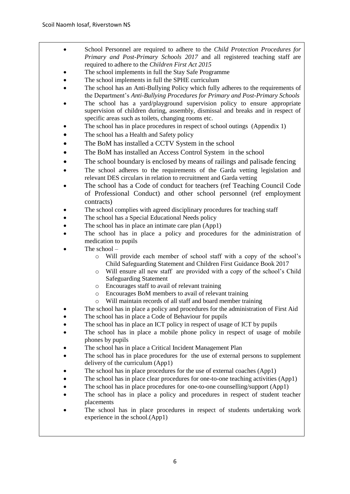- School Personnel are required to adhere to the *Child Protection Procedures for Primary and Post-Primary Schools 2017* and all registered teaching staff are required to adhere to the *Children First Act 2015*
- The school implements in full the Stay Safe Programme
- The school implements in full the SPHE curriculum
- The school has an Anti-Bullying Policy which fully adheres to the requirements of the Department's *Anti-Bullying Procedures for Primary and Post-Primary Schools*
- The school has a yard/playground supervision policy to ensure appropriate supervision of children during, assembly, dismissal and breaks and in respect of specific areas such as toilets, changing rooms etc.
- The school has in place procedures in respect of school outings (Appendix 1)
- The school has a Health and Safety policy
- The BoM has installed a CCTV System in the school
- The BoM has installed an Access Control System in the school
- The school boundary is enclosed by means of railings and palisade fencing
- The school adheres to the requirements of the Garda vetting legislation and relevant DES circulars in relation to recruitment and Garda vetting
- The school has a Code of conduct for teachers (ref Teaching Council Code of Professional Conduct) and other school personnel (ref employment contracts)
- The school complies with agreed disciplinary procedures for teaching staff
- The school has a Special Educational Needs policy
- The school has in place an intimate care plan (App1)
- The school has in place a policy and procedures for the administration of medication to pupils
- The school
	- o Will provide each member of school staff with a copy of the school's Child Safeguarding Statement and Children First Guidance Book 2017
	- o Will ensure all new staff are provided with a copy of the school's Child Safeguarding Statement
	- o Encourages staff to avail of relevant training
	- o Encourages BoM members to avail of relevant training
	- o Will maintain records of all staff and board member training
- The school has in place a policy and procedures for the administration of First Aid
- The school has in place a Code of Behaviour for pupils
- The school has in place an ICT policy in respect of usage of ICT by pupils
- The school has in place a mobile phone policy in respect of usage of mobile phones by pupils
- The school has in place a Critical Incident Management Plan
- The school has in place procedures for the use of external persons to supplement delivery of the curriculum (App1)
- The school has in place procedures for the use of external coaches (App1)
- The school has in place clear procedures for one-to-one teaching activities (App1)
- The school has in place procedures for one-to-one counselling/support (App1)
- The school has in place a policy and procedures in respect of student teacher placements
- The school has in place procedures in respect of students undertaking work experience in the school.(App1)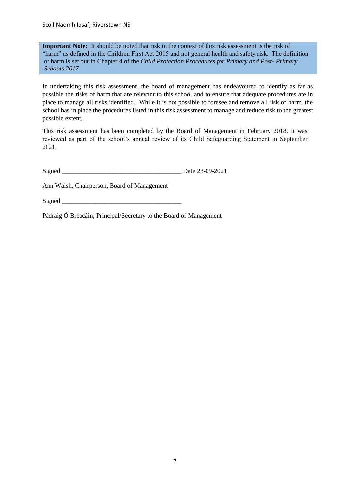Scoil Naomh Iosaf, Riverstown NS

**Important Note:** It should be noted that risk in the context of this risk assessment is the risk of "harm" as defined in the Children First Act 2015 and not general health and safety risk. The definition of harm is set out in Chapter 4 of the *Child Protection Procedures for Primary and Post- Primary Schools 2017*

In undertaking this risk assessment, the board of management has endeavoured to identify as far as possible the risks of harm that are relevant to this school and to ensure that adequate procedures are in place to manage all risks identified. While it is not possible to foresee and remove all risk of harm, the school has in place the procedures listed in this risk assessment to manage and reduce risk to the greatest possible extent.

This risk assessment has been completed by the Board of Management in February 2018. It was reviewed as part of the school's annual review of its Child Safeguarding Statement in September 2021.

Ann Walsh, Chairperson, Board of Management

Signed  $\Box$ 

Pádraig Ó Breacáin, Principal/Secretary to the Board of Management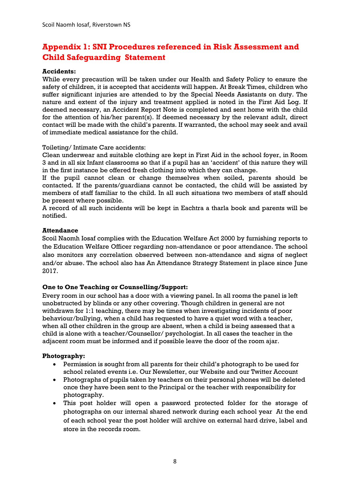# **Appendix 1: SNI Procedures referenced in Risk Assessment and Child Safeguarding Statement**

#### **Accidents:**

While every precaution will be taken under our Health and Safety Policy to ensure the safety of children, it is accepted that accidents will happen. At Break Times, children who suffer significant injuries are attended to by the Special Needs Assistants on duty. The nature and extent of the injury and treatment applied is noted in the First Aid Log. If deemed necessary, an Accident Report Note is completed and sent home with the child for the attention of his/her parent(s). If deemed necessary by the relevant adult, direct contact will be made with the child's parents. If warranted, the school may seek and avail of immediate medical assistance for the child.

Toileting/ Intimate Care accidents:

Clean underwear and suitable clothing are kept in First Aid in the school foyer, in Room 3 and in all six Infant classrooms so that if a pupil has an 'accident' of this nature they will in the first instance be offered fresh clothing into which they can change.

If the pupil cannot clean or change themselves when soiled, parents should be contacted. If the parents/guardians cannot be contacted, the child will be assisted by members of staff familiar to the child. In all such situations two members of staff should be present where possible.

A record of all such incidents will be kept in Eachtra a tharla book and parents will be notified.

#### **Attendance**

Scoil Naomh Iosaf complies with the Education Welfare Act 2000 by furnishing reports to the Education Welfare Officer regarding non-attendance or poor attendance. The school also monitors any correlation observed between non-attendance and signs of neglect and/or abuse. The school also has An Attendance Strategy Statement in place since June 2017.

#### **One to One Teaching or Counselling/Support:**

Every room in our school has a door with a viewing panel. In all rooms the panel is left unobstructed by blinds or any other covering. Though children in general are not withdrawn for 1:1 teaching, there may be times when investigating incidents of poor behaviour/bullying, when a child has requested to have a quiet word with a teacher, when all other children in the group are absent, when a child is being assessed that a child is alone with a teacher/Counsellor/ psychologist. In all cases the teacher in the adjacent room must be informed and if possible leave the door of the room ajar.

## **Photography:**

- Permission is sought from all parents for their child's photograph to be used for school related events i.e. Our Newsletter, our Website and our Twitter Account
- Photographs of pupils taken by teachers on their personal phones will be deleted once they have been sent to the Principal or the teacher with responsibility for photography.
- This post holder will open a password protected folder for the storage of photographs on our internal shared network during each school year At the end of each school year the post holder will archive on external hard drive, label and store in the records room.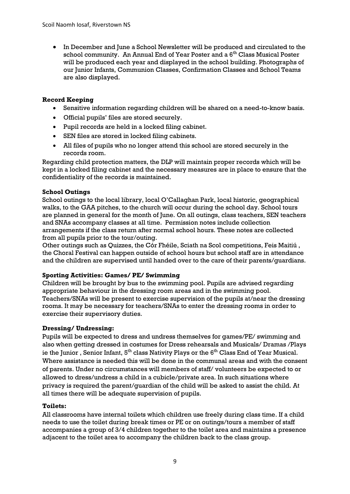In December and June a School Newsletter will be produced and circulated to the school community. An Annual End of Year Poster and a 6<sup>th</sup> Class Musical Poster will be produced each year and displayed in the school building. Photographs of our Junior Infants, Communion Classes, Confirmation Classes and School Teams are also displayed.

#### **Record Keeping**

- Sensitive information regarding children will be shared on a need-to-know basis.
- Official pupils' files are stored securely.
- Pupil records are held in a locked filing cabinet.
- SEN files are stored in locked filing cabinets.
- All files of pupils who no longer attend this school are stored securely in the records room.

Regarding child protection matters, the DLP will maintain proper records which will be kept in a locked filing cabinet and the necessary measures are in place to ensure that the confidentiality of the records is maintained.

## **School Outings**

School outings to the local library, local O'Callaghan Park, local historic, geographical walks, to the GAA pitches, to the church will occur during the school day. School tours are planned in general for the month of June. On all outings, class teachers, SEN teachers and SNAs accompany classes at all time. Permission notes include collection arrangements if the class return after normal school hours. These notes are collected from all pupils prior to the tour/outing.

Other outings such as Quizzes, the Cór Fhéile, Sciath na Scol competitions, Feis Maitiú , the Choral Festival can happen outside of school hours but school staff are in attendance and the children are supervised until handed over to the care of their parents/guardians.

#### **Sporting Activities: Games/ PE/ Swimming**

Children will be brought by bus to the swimming pool. Pupils are advised regarding appropriate behaviour in the dressing room areas and in the swimming pool. Teachers/SNAs will be present to exercise supervision of the pupils at/near the dressing rooms. It may be necessary for teachers/SNAs to enter the dressing rooms in order to exercise their supervisory duties.

#### **Dressing/ Undressing:**

Pupils will be expected to dress and undress themselves for games/PE/ swimming and also when getting dressed in costumes for Dress rehearsals and Musicals/ Dramas /Plays ie the Junior, Senior Infant,  $5<sup>th</sup>$  class Nativity Plays or the  $6<sup>th</sup>$  Class End of Year Musical. Where assistance is needed this will be done in the communal areas and with the consent of parents. Under no circumstances will members of staff/ volunteers be expected to or allowed to dress/undress a child in a cubicle/private area. In such situations where privacy is required the parent/guardian of the child will be asked to assist the child. At all times there will be adequate supervision of pupils.

#### **Toilets:**

All classrooms have internal toilets which children use freely during class time. If a child needs to use the toilet during break times or PE or on outings/tours a member of staff accompanies a group of 3/4 children together to the toilet area and maintains a presence adjacent to the toilet area to accompany the children back to the class group.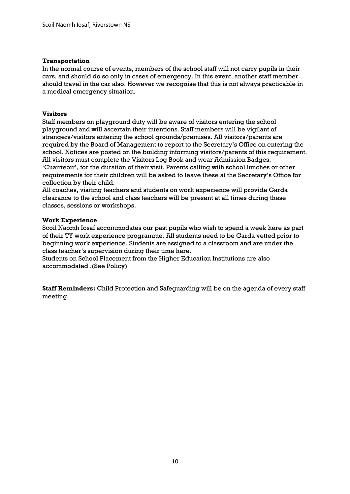#### **Transportation**

In the normal course of events, members of the school staff will not carry pupils in their cars, and should do so only in cases of emergency. In this event, another staff member should travel in the car also. However we recognise that this is not always practicable in a medical emergency situation.

#### **Visitors**

Staff members on playground duty will be aware of visitors entering the school playground and will ascertain their intentions. Staff members will be vigilant of strangers/visitors entering the school grounds/premises. All visitors/parents are required by the Board of Management to report to the Secretary's Office on entering the school. Notices are posted on the building informing visitors/parents of this requirement. All visitors must complete the Visitors Log Book and wear Admission Badges, 'Cuairteoir', for the duration of their visit. Parents calling with school lunches or other requirements for their children will be asked to leave these at the Secretary's Office for collection by their child.

All coaches, visiting teachers and students on work experience will provide Garda clearance to the school and class teachers will be present at all times during these classes, sessions or workshops.

#### **Work Experience**

Scoil Naomh Iosaf accommodates our past pupils who wish to spend a week here as part of their TY work experience programme. All students need to be Garda vetted prior to beginning work experience. Students are assigned to a classroom and are under the class teacher's supervision during their time here.

Students on School Placement from the Higher Education Institutions are also accommodated .(See Policy)

**Staff Reminders:** Child Protection and Safeguarding will be on the agenda of every staff meeting.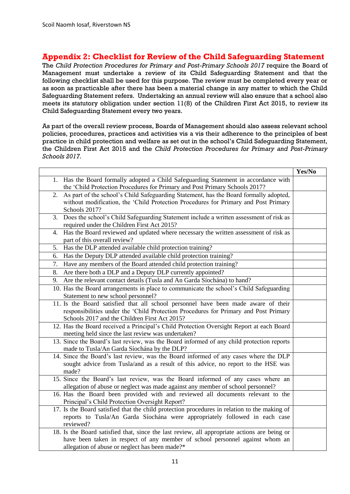## **Appendix 2: Checklist for Review of the Child Safeguarding Statement**

The *Child Protection Procedures for Primary and Post-Primary Schools 2017* require the Board of Management must undertake a review of its Child Safeguarding Statement and that the following checklist shall be used for this purpose. The review must be completed every year or as soon as practicable after there has been a material change in any matter to which the Child Safeguarding Statement refers. Undertaking an annual review will also ensure that a school also meets its statutory obligation under section 11(8) of the Children First Act 2015, to review its Child Safeguarding Statement every two years.

As part of the overall review process, Boards of Management should also assess relevant school policies, procedures, practices and activities vis a vis their adherence to the principles of best practice in child protection and welfare as set out in the school's Child Safeguarding Statement, the Children First Act 2015 and the *Child Protection Procedures for Primary and Post-Primary Schools 2017.*

|                                                                                              | Yes/No |
|----------------------------------------------------------------------------------------------|--------|
| 1. Has the Board formally adopted a Child Safeguarding Statement in accordance with          |        |
| the 'Child Protection Procedures for Primary and Post Primary Schools 2017?                  |        |
| As part of the school's Child Safeguarding Statement, has the Board formally adopted,<br>2.  |        |
| without modification, the 'Child Protection Procedures for Primary and Post Primary          |        |
| Schools 2017?                                                                                |        |
| Does the school's Child Safeguarding Statement include a written assessment of risk as<br>3. |        |
| required under the Children First Act 2015?                                                  |        |
| Has the Board reviewed and updated where necessary the written assessment of risk as<br>4.   |        |
| part of this overall review?                                                                 |        |
| 5.<br>Has the DLP attended available child protection training?                              |        |
| Has the Deputy DLP attended available child protection training?<br>6.                       |        |
| Have any members of the Board attended child protection training?<br>7.                      |        |
| Are there both a DLP and a Deputy DLP currently appointed?<br>8.                             |        |
| Are the relevant contact details (Tusla and An Garda Síochána) to hand?<br>9.                |        |
| 10. Has the Board arrangements in place to communicate the school's Child Safeguarding       |        |
| Statement to new school personnel?                                                           |        |
| 11. Is the Board satisfied that all school personnel have been made aware of their           |        |
| responsibilities under the 'Child Protection Procedures for Primary and Post Primary         |        |
| Schools 2017 and the Children First Act 2015?                                                |        |
| 12. Has the Board received a Principal's Child Protection Oversight Report at each Board     |        |
| meeting held since the last review was undertaken?                                           |        |
| 13. Since the Board's last review, was the Board informed of any child protection reports    |        |
| made to Tusla/An Garda Síochána by the DLP?                                                  |        |
| 14. Since the Board's last review, was the Board informed of any cases where the DLP         |        |
| sought advice from Tusla/and as a result of this advice, no report to the HSE was            |        |
| made?                                                                                        |        |
| 15. Since the Board's last review, was the Board informed of any cases where an              |        |
| allegation of abuse or neglect was made against any member of school personnel?              |        |
| 16. Has the Board been provided with and reviewed all documents relevant to the              |        |
| Principal's Child Protection Oversight Report?                                               |        |
| 17. Is the Board satisfied that the child protection procedures in relation to the making of |        |
| reports to Tusla/An Garda Síochána were appropriately followed in each case                  |        |
| reviewed?                                                                                    |        |
| 18. Is the Board satisfied that, since the last review, all appropriate actions are being or |        |
| have been taken in respect of any member of school personnel against whom an                 |        |
| allegation of abuse or neglect has been made?*                                               |        |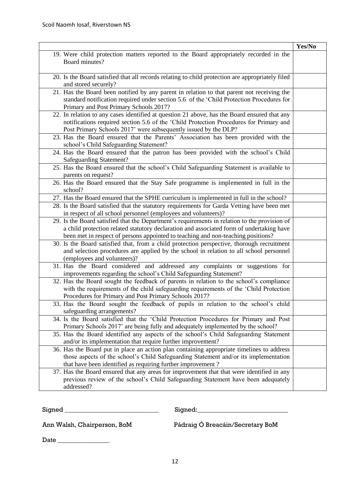|                                                                                                                 | Yes/No |
|-----------------------------------------------------------------------------------------------------------------|--------|
| 19. Were child protection matters reported to the Board appropriately recorded in the                           |        |
| Board minutes?                                                                                                  |        |
|                                                                                                                 |        |
| 20. Is the Board satisfied that all records relating to child protection are appropriately filed                |        |
| and stored securely?                                                                                            |        |
| 21. Has the Board been notified by any parent in relation to that parent not receiving the                      |        |
| standard notification required under section 5.6 of the 'Child Protection Procedures for                        |        |
| Primary and Post Primary Schools 2017?                                                                          |        |
| 22. In relation to any cases identified at question 21 above, has the Board ensured that any                    |        |
| notifications required section 5.6 of the 'Child Protection Procedures for Primary and                          |        |
| Post Primary Schools 2017' were subsequently issued by the DLP?                                                 |        |
| 23. Has the Board ensured that the Parents' Association has been provided with the                              |        |
| school's Child Safeguarding Statement?                                                                          |        |
| 24. Has the Board ensured that the patron has been provided with the school's Child                             |        |
| <b>Safeguarding Statement?</b>                                                                                  |        |
| 25. Has the Board ensured that the school's Child Safeguarding Statement is available to                        |        |
| parents on request?                                                                                             |        |
| 26. Has the Board ensured that the Stay Safe programme is implemented in full in the                            |        |
| school?                                                                                                         |        |
| 27. Has the Board ensured that the SPHE curriculum is implemented in full in the school?                        |        |
| 28. Is the Board satisfied that the statutory requirements for Garda Vetting have been met                      |        |
| in respect of all school personnel (employees and volunteers)?                                                  |        |
| 29. Is the Board satisfied that the Department's requirements in relation to the provision of                   |        |
| a child protection related statutory declaration and associated form of undertaking have                        |        |
| been met in respect of persons appointed to teaching and non-teaching positions?                                |        |
| 30. Is the Board satisfied that, from a child protection perspective, thorough recruitment                      |        |
| and selection procedures are applied by the school in relation to all school personnel                          |        |
| (employees and volunteers)?                                                                                     |        |
| 31. Has the Board considered and addressed any complaints or suggestions for                                    |        |
| improvements regarding the school's Child Safeguarding Statement?                                               |        |
| 32. Has the Board sought the feedback of parents in relation to the school's compliance                         |        |
| with the requirements of the child safeguarding requirements of the 'Child Protection                           |        |
| Procedures for Primary and Post Primary Schools 2017?                                                           |        |
| 33. Has the Board sought the feedback of pupils in relation to the school's child<br>safeguarding arrangements? |        |
| 34. Is the Board satisfied that the 'Child Protection Procedures for Primary and Post                           |        |
| Primary Schools 2017' are being fully and adequately implemented by the school?                                 |        |
| 35. Has the Board identified any aspects of the school's Child Safeguarding Statement                           |        |
| and/or its implementation that require further improvement?                                                     |        |
| 36. Has the Board put in place an action plan containing appropriate timelines to address                       |        |
| those aspects of the school's Child Safeguarding Statement and/or its implementation                            |        |
| that have been identified as requiring further improvement?                                                     |        |
| 37. Has the Board ensured that any areas for improvement that that were identified in any                       |        |
| previous review of the school's Child Safeguarding Statement have been adequately                               |        |
| addressed?                                                                                                      |        |
|                                                                                                                 |        |

 ${\tt{Signed}}$   ${\tt{Signed}}$   ${\tt{Signed}}$   ${\tt{Signed}}$   ${\tt{Signed}}$   ${\tt{Signed}}$   ${\tt{Signed}}$   ${\tt{Sounded}}$ 

Ann Walsh, Chairperson, BoM Pádraig Ó Breacáin/Secretary BoM

Date \_\_\_\_\_\_\_\_\_\_\_\_\_\_\_\_